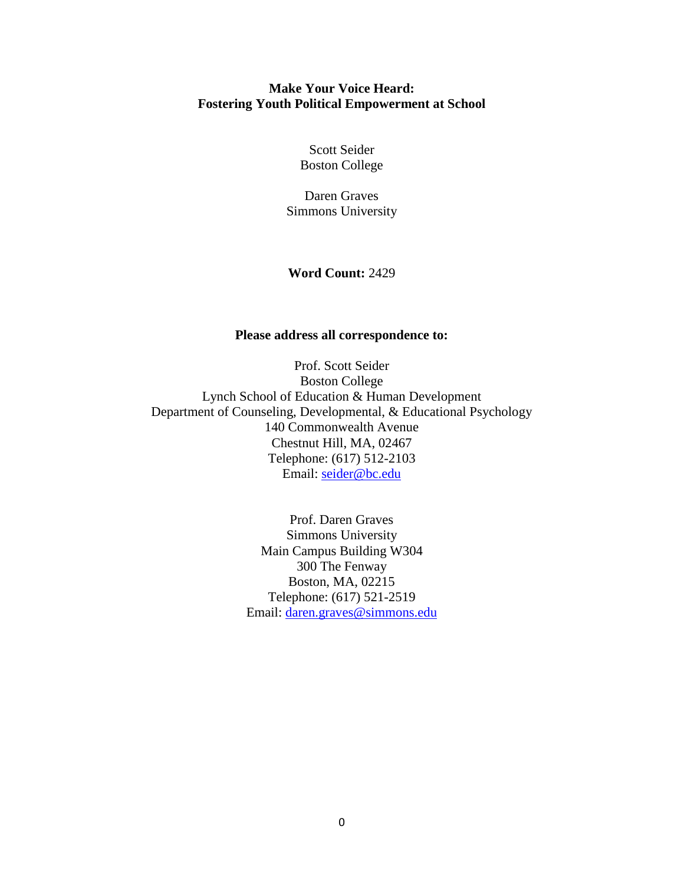# **Make Your Voice Heard: Fostering Youth Political Empowerment at School**

Scott Seider Boston College

Daren Graves Simmons University

# **Word Count:** 2429

# **Please address all correspondence to:**

Prof. Scott Seider Boston College Lynch School of Education & Human Development Department of Counseling, Developmental, & Educational Psychology 140 Commonwealth Avenue Chestnut Hill, MA, 02467 Telephone: (617) 512-2103 Email: [seider@bc.edu](mailto:seider@bc.edu)

> Prof. Daren Graves Simmons University Main Campus Building W304 300 The Fenway Boston, MA, 02215 Telephone: (617) 521-2519 Email: [daren.graves@simmons.edu](mailto:daren.graves@simmons.edu)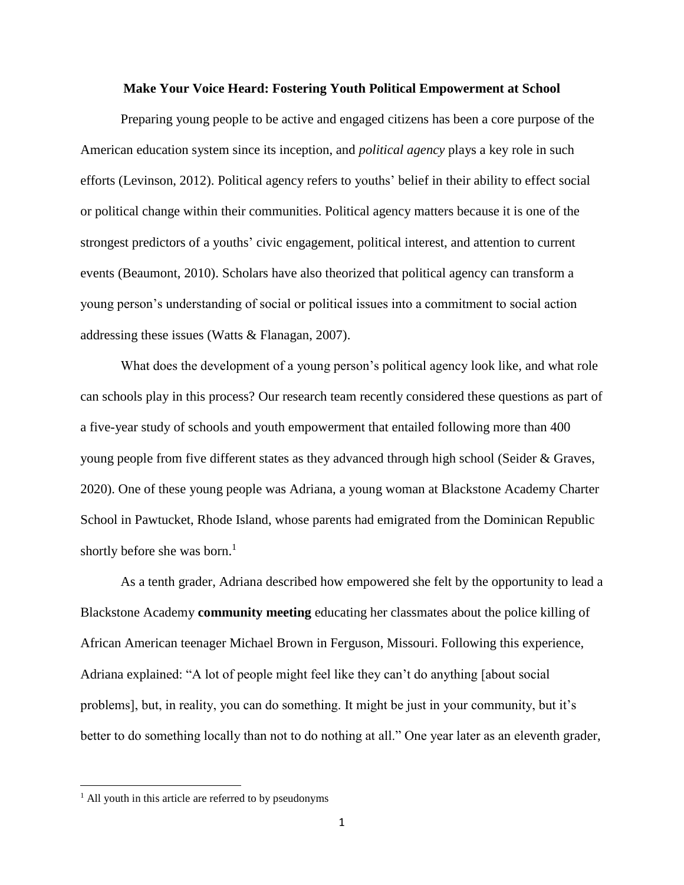#### **Make Your Voice Heard: Fostering Youth Political Empowerment at School**

Preparing young people to be active and engaged citizens has been a core purpose of the American education system since its inception, and *political agency* plays a key role in such efforts (Levinson, 2012). Political agency refers to youths' belief in their ability to effect social or political change within their communities. Political agency matters because it is one of the strongest predictors of a youths' civic engagement, political interest, and attention to current events (Beaumont, 2010). Scholars have also theorized that political agency can transform a young person's understanding of social or political issues into a commitment to social action addressing these issues (Watts & Flanagan, 2007).

What does the development of a young person's political agency look like, and what role can schools play in this process? Our research team recently considered these questions as part of a five-year study of schools and youth empowerment that entailed following more than 400 young people from five different states as they advanced through high school (Seider & Graves, 2020). One of these young people was Adriana, a young woman at Blackstone Academy Charter School in Pawtucket, Rhode Island, whose parents had emigrated from the Dominican Republic shortly before she was born.<sup>1</sup>

As a tenth grader, Adriana described how empowered she felt by the opportunity to lead a Blackstone Academy **community meeting** educating her classmates about the police killing of African American teenager Michael Brown in Ferguson, Missouri. Following this experience, Adriana explained: "A lot of people might feel like they can't do anything [about social problems], but, in reality, you can do something. It might be just in your community, but it's better to do something locally than not to do nothing at all." One year later as an eleventh grader,

 $\overline{\phantom{a}}$ 

 $<sup>1</sup>$  All youth in this article are referred to by pseudonyms</sup>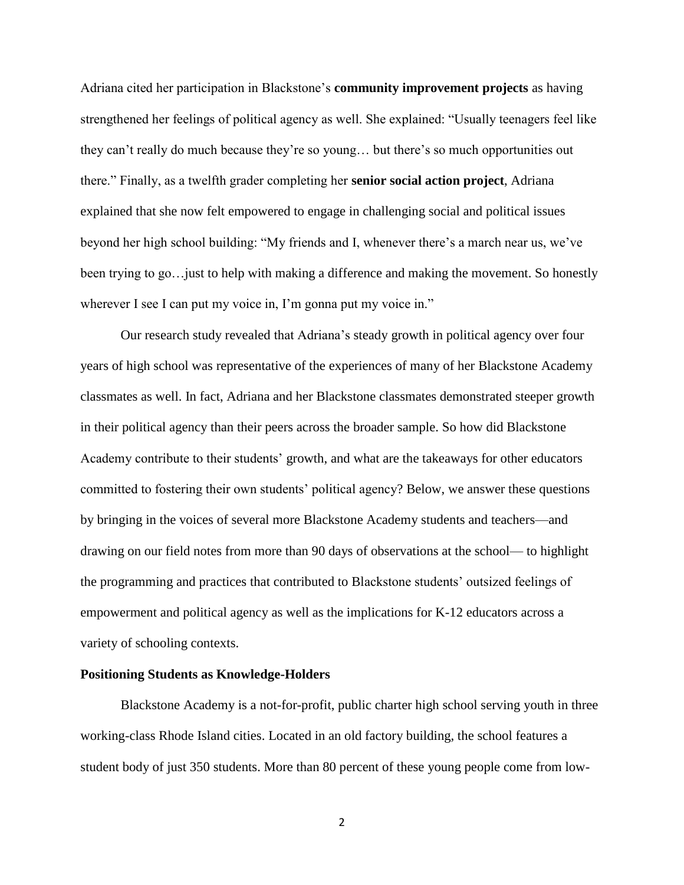Adriana cited her participation in Blackstone's **community improvement projects** as having strengthened her feelings of political agency as well. She explained: "Usually teenagers feel like they can't really do much because they're so young… but there's so much opportunities out there." Finally, as a twelfth grader completing her **senior social action project**, Adriana explained that she now felt empowered to engage in challenging social and political issues beyond her high school building: "My friends and I, whenever there's a march near us, we've been trying to go…just to help with making a difference and making the movement. So honestly wherever I see I can put my voice in, I'm gonna put my voice in."

Our research study revealed that Adriana's steady growth in political agency over four years of high school was representative of the experiences of many of her Blackstone Academy classmates as well. In fact, Adriana and her Blackstone classmates demonstrated steeper growth in their political agency than their peers across the broader sample. So how did Blackstone Academy contribute to their students' growth, and what are the takeaways for other educators committed to fostering their own students' political agency? Below, we answer these questions by bringing in the voices of several more Blackstone Academy students and teachers—and drawing on our field notes from more than 90 days of observations at the school— to highlight the programming and practices that contributed to Blackstone students' outsized feelings of empowerment and political agency as well as the implications for K-12 educators across a variety of schooling contexts.

## **Positioning Students as Knowledge-Holders**

Blackstone Academy is a not-for-profit, public charter high school serving youth in three working-class Rhode Island cities. Located in an old factory building, the school features a student body of just 350 students. More than 80 percent of these young people come from low-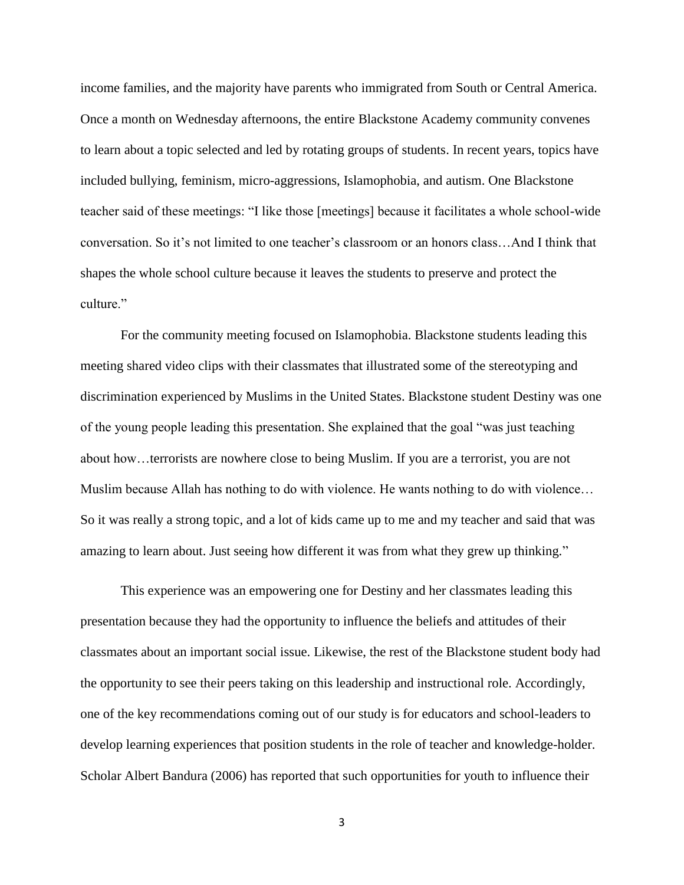income families, and the majority have parents who immigrated from South or Central America. Once a month on Wednesday afternoons, the entire Blackstone Academy community convenes to learn about a topic selected and led by rotating groups of students. In recent years, topics have included bullying, feminism, micro-aggressions, Islamophobia, and autism. One Blackstone teacher said of these meetings: "I like those [meetings] because it facilitates a whole school-wide conversation. So it's not limited to one teacher's classroom or an honors class…And I think that shapes the whole school culture because it leaves the students to preserve and protect the culture."

For the community meeting focused on Islamophobia. Blackstone students leading this meeting shared video clips with their classmates that illustrated some of the stereotyping and discrimination experienced by Muslims in the United States. Blackstone student Destiny was one of the young people leading this presentation. She explained that the goal "was just teaching about how…terrorists are nowhere close to being Muslim. If you are a terrorist, you are not Muslim because Allah has nothing to do with violence. He wants nothing to do with violence… So it was really a strong topic, and a lot of kids came up to me and my teacher and said that was amazing to learn about. Just seeing how different it was from what they grew up thinking."

This experience was an empowering one for Destiny and her classmates leading this presentation because they had the opportunity to influence the beliefs and attitudes of their classmates about an important social issue. Likewise, the rest of the Blackstone student body had the opportunity to see their peers taking on this leadership and instructional role. Accordingly, one of the key recommendations coming out of our study is for educators and school-leaders to develop learning experiences that position students in the role of teacher and knowledge-holder. Scholar Albert Bandura (2006) has reported that such opportunities for youth to influence their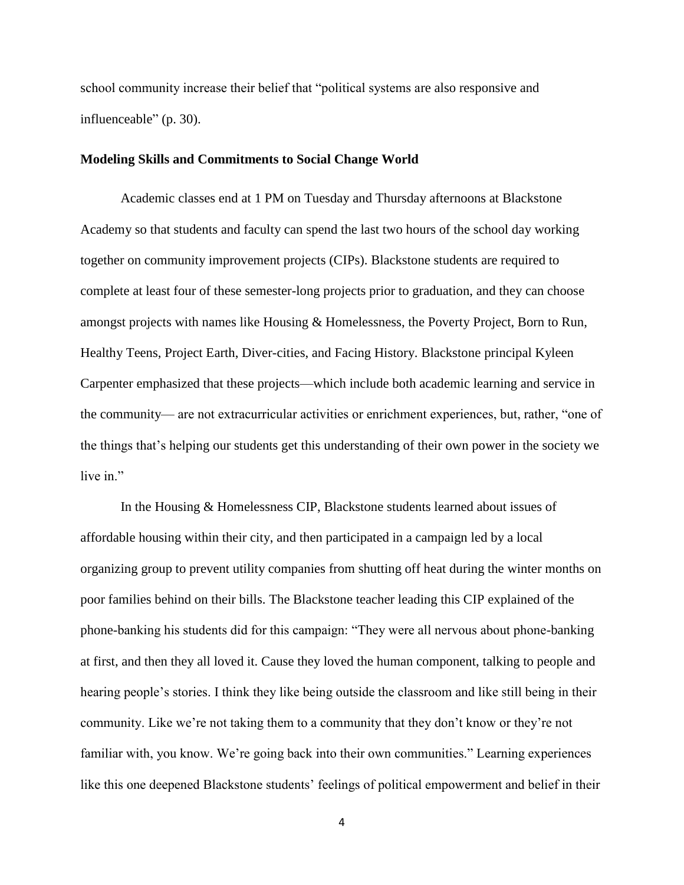school community increase their belief that "political systems are also responsive and influenceable" (p. 30).

## **Modeling Skills and Commitments to Social Change World**

Academic classes end at 1 PM on Tuesday and Thursday afternoons at Blackstone Academy so that students and faculty can spend the last two hours of the school day working together on community improvement projects (CIPs). Blackstone students are required to complete at least four of these semester-long projects prior to graduation, and they can choose amongst projects with names like Housing & Homelessness, the Poverty Project, Born to Run, Healthy Teens, Project Earth, Diver-cities, and Facing History. Blackstone principal Kyleen Carpenter emphasized that these projects—which include both academic learning and service in the community— are not extracurricular activities or enrichment experiences, but, rather, "one of the things that's helping our students get this understanding of their own power in the society we live in."

In the Housing & Homelessness CIP, Blackstone students learned about issues of affordable housing within their city, and then participated in a campaign led by a local organizing group to prevent utility companies from shutting off heat during the winter months on poor families behind on their bills. The Blackstone teacher leading this CIP explained of the phone-banking his students did for this campaign: "They were all nervous about phone-banking at first, and then they all loved it. Cause they loved the human component, talking to people and hearing people's stories. I think they like being outside the classroom and like still being in their community. Like we're not taking them to a community that they don't know or they're not familiar with, you know. We're going back into their own communities." Learning experiences like this one deepened Blackstone students' feelings of political empowerment and belief in their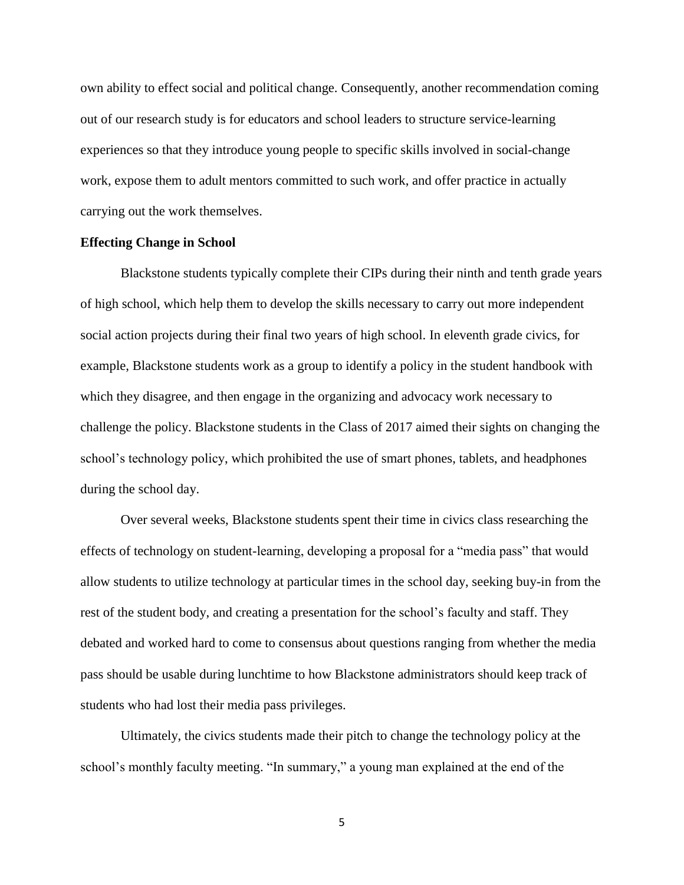own ability to effect social and political change. Consequently, another recommendation coming out of our research study is for educators and school leaders to structure service-learning experiences so that they introduce young people to specific skills involved in social-change work, expose them to adult mentors committed to such work, and offer practice in actually carrying out the work themselves.

### **Effecting Change in School**

Blackstone students typically complete their CIPs during their ninth and tenth grade years of high school, which help them to develop the skills necessary to carry out more independent social action projects during their final two years of high school. In eleventh grade civics, for example, Blackstone students work as a group to identify a policy in the student handbook with which they disagree, and then engage in the organizing and advocacy work necessary to challenge the policy. Blackstone students in the Class of 2017 aimed their sights on changing the school's technology policy, which prohibited the use of smart phones, tablets, and headphones during the school day.

Over several weeks, Blackstone students spent their time in civics class researching the effects of technology on student-learning, developing a proposal for a "media pass" that would allow students to utilize technology at particular times in the school day, seeking buy-in from the rest of the student body, and creating a presentation for the school's faculty and staff. They debated and worked hard to come to consensus about questions ranging from whether the media pass should be usable during lunchtime to how Blackstone administrators should keep track of students who had lost their media pass privileges.

Ultimately, the civics students made their pitch to change the technology policy at the school's monthly faculty meeting. "In summary," a young man explained at the end of the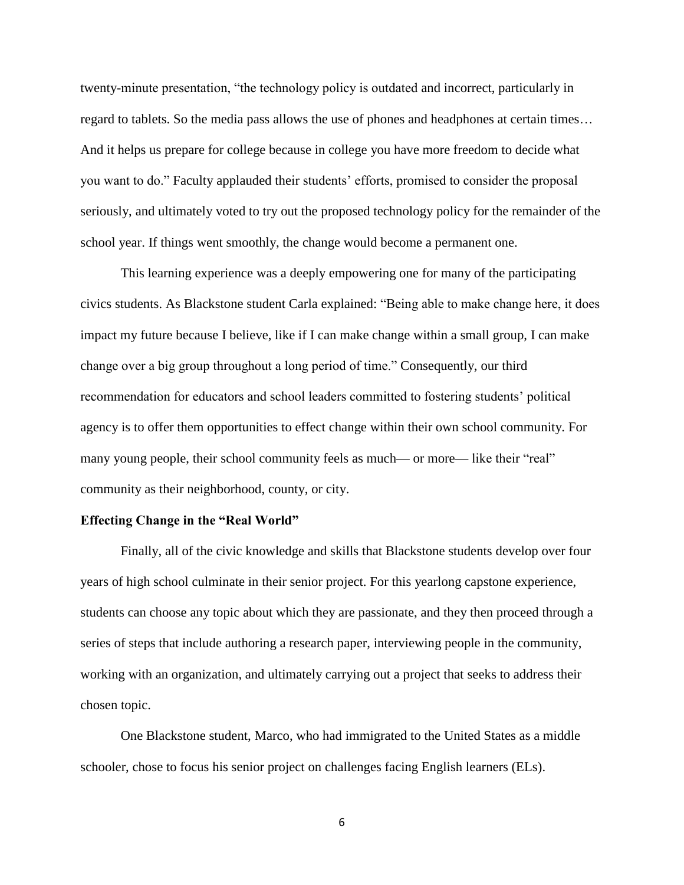twenty-minute presentation, "the technology policy is outdated and incorrect, particularly in regard to tablets. So the media pass allows the use of phones and headphones at certain times… And it helps us prepare for college because in college you have more freedom to decide what you want to do." Faculty applauded their students' efforts, promised to consider the proposal seriously, and ultimately voted to try out the proposed technology policy for the remainder of the school year. If things went smoothly, the change would become a permanent one.

This learning experience was a deeply empowering one for many of the participating civics students. As Blackstone student Carla explained: "Being able to make change here, it does impact my future because I believe, like if I can make change within a small group, I can make change over a big group throughout a long period of time." Consequently, our third recommendation for educators and school leaders committed to fostering students' political agency is to offer them opportunities to effect change within their own school community. For many young people, their school community feels as much— or more— like their "real" community as their neighborhood, county, or city.

#### **Effecting Change in the "Real World"**

Finally, all of the civic knowledge and skills that Blackstone students develop over four years of high school culminate in their senior project. For this yearlong capstone experience, students can choose any topic about which they are passionate, and they then proceed through a series of steps that include authoring a research paper, interviewing people in the community, working with an organization, and ultimately carrying out a project that seeks to address their chosen topic.

One Blackstone student, Marco, who had immigrated to the United States as a middle schooler, chose to focus his senior project on challenges facing English learners (ELs).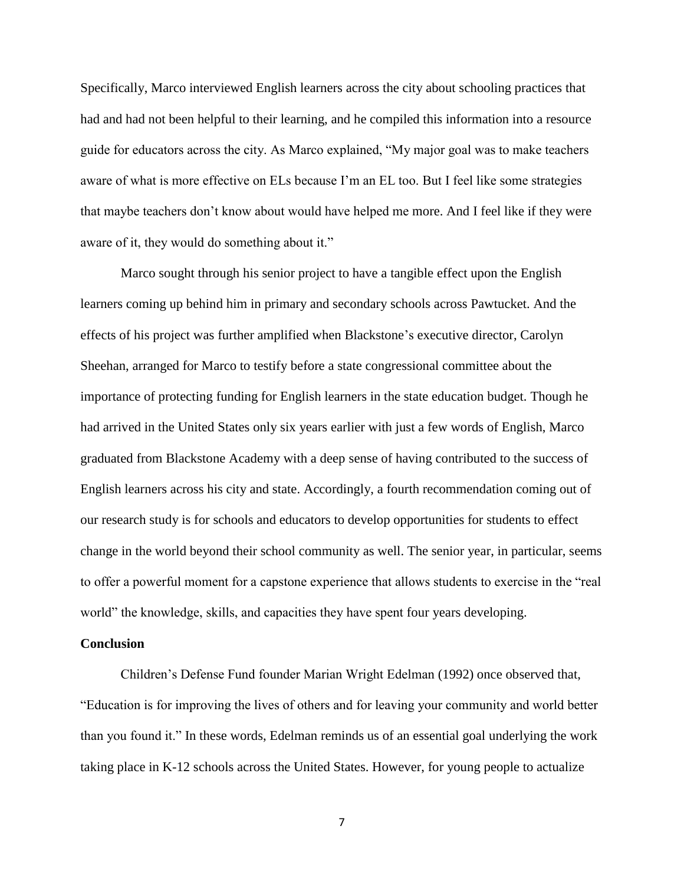Specifically, Marco interviewed English learners across the city about schooling practices that had and had not been helpful to their learning, and he compiled this information into a resource guide for educators across the city. As Marco explained, "My major goal was to make teachers aware of what is more effective on ELs because I'm an EL too. But I feel like some strategies that maybe teachers don't know about would have helped me more. And I feel like if they were aware of it, they would do something about it."

Marco sought through his senior project to have a tangible effect upon the English learners coming up behind him in primary and secondary schools across Pawtucket. And the effects of his project was further amplified when Blackstone's executive director, Carolyn Sheehan, arranged for Marco to testify before a state congressional committee about the importance of protecting funding for English learners in the state education budget. Though he had arrived in the United States only six years earlier with just a few words of English, Marco graduated from Blackstone Academy with a deep sense of having contributed to the success of English learners across his city and state. Accordingly, a fourth recommendation coming out of our research study is for schools and educators to develop opportunities for students to effect change in the world beyond their school community as well. The senior year, in particular, seems to offer a powerful moment for a capstone experience that allows students to exercise in the "real world" the knowledge, skills, and capacities they have spent four years developing.

#### **Conclusion**

Children's Defense Fund founder Marian Wright Edelman (1992) once observed that, "Education is for improving the lives of others and for leaving your community and world better than you found it." In these words, Edelman reminds us of an essential goal underlying the work taking place in K-12 schools across the United States. However, for young people to actualize